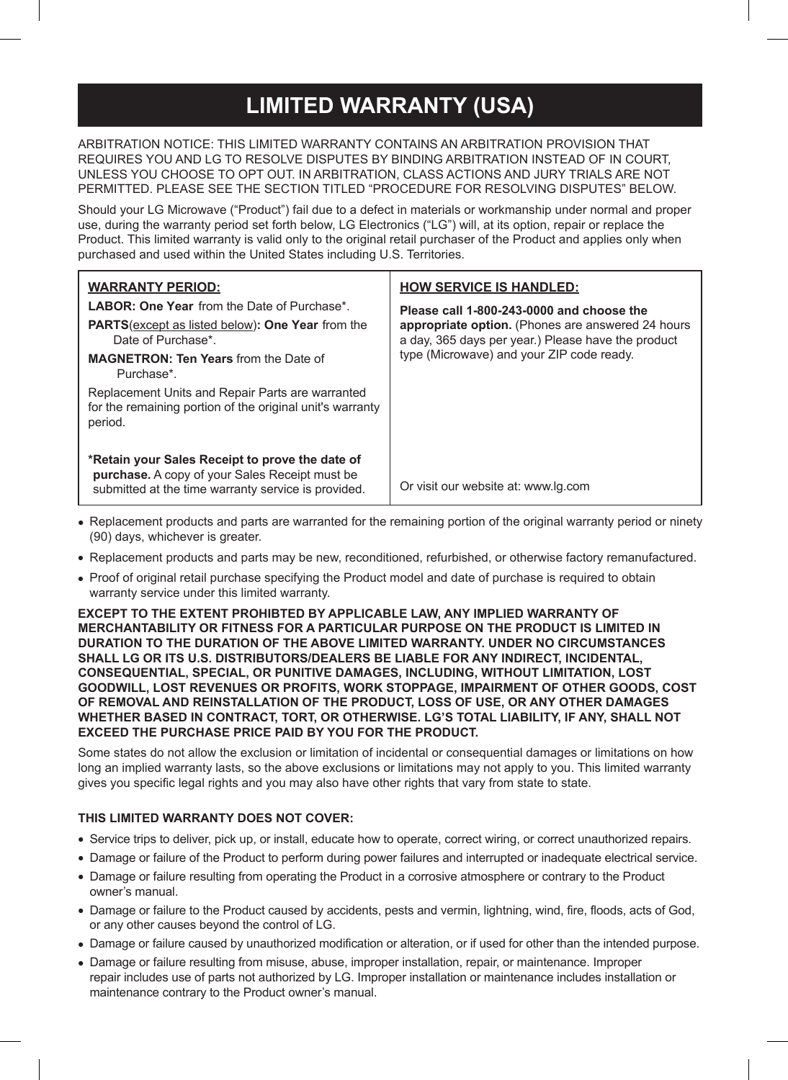## **LIMITED WARRANTY (USA)**

ARBITRATION NOTICE: THIS LIMITED WARRANTY CONTAINS AN ARBITRATION PROVISION THAT REQUIRES YOU AND LG TO RESOLVE DISPUTES BY BINDING ARBITRATION INSTEAD OF IN COURT, UNLESS YOU CHOOSE TO OPT OUT. IN ARBITRATION, CLASS ACTIONS AND JURY TRIALS ARE NOT PERMITTED. PLEASE SEE THE SECTION TITLED "PROCEDURE FOR RESOLVING DISPUTES" BELOW.

Should your LG Microwave ("Product") fail due to a defect in materials or workmanship under normal and proper use, during the warranty period set forth below, LG Electronics ("LG") will, at its option, repair or replace the Product. This limited warranty is valid only to the original retail purchaser of the Product and applies only when purchased and used within the United States including U.S. Territories.

| <b>WARRANTY PERIOD:</b><br><b>LABOR: One Year from the Date of Purchase*</b><br><b>PARTS</b> (except as listed below): One Year from the<br>Date of Purchase*.<br><b>MAGNETRON: Ten Years from the Date of</b><br>Purchase*<br>Replacement Units and Repair Parts are warranted<br>for the remaining portion of the original unit's warranty<br>period. | <b>HOW SERVICE IS HANDLED:</b><br>Please call 1-800-243-0000 and choose the<br>appropriate option. (Phones are answered 24 hours<br>a day, 365 days per year.) Please have the product<br>type (Microwave) and your ZIP code ready. |  |
|---------------------------------------------------------------------------------------------------------------------------------------------------------------------------------------------------------------------------------------------------------------------------------------------------------------------------------------------------------|-------------------------------------------------------------------------------------------------------------------------------------------------------------------------------------------------------------------------------------|--|
| *Retain your Sales Receipt to prove the date of<br><b>purchase.</b> A copy of your Sales Receipt must be<br>submitted at the time warranty service is provided.                                                                                                                                                                                         | Or visit our website at: www.lg.com                                                                                                                                                                                                 |  |

- Replacement products and parts are warranted for the remaining portion of the original warranty period or ninety (90) days, whichever is greater.
- Replacement products and parts may be new, reconditioned, refurbished, or otherwise factory remanufactured.
- Proof of original retail purchase specifying the Product model and date of purchase is required to obtain warranty service under this limited warranty.

**EXCEPT TO THE EXTENT PROHIBTED BY APPLICABLE LAW, ANY IMPLIED WARRANTY OF MERCHANTABILITY OR FITNESS FOR A PARTICULAR PURPOSE ON THE PRODUCT IS LIMITED IN DURATION TO THE DURATION OF THE ABOVE LIMITED WARRANTY. UNDER NO CIRCUMSTANCES SHALL LG OR ITS U.S. DISTRIBUTORS/DEALERS BE LIABLE FOR ANY INDIRECT, INCIDENTAL, CONSEQUENTIAL, SPECIAL, OR PUNITIVE DAMAGES, INCLUDING, WITHOUT LIMITATION, LOST GOODWILL, LOST REVENUES OR PROFITS, WORK STOPPAGE, IMPAIRMENT OF OTHER GOODS, COST OF REMOVAL AND REINSTALLATION OF THE PRODUCT, LOSS OF USE, OR ANY OTHER DAMAGES WHETHER BASED IN CONTRACT, TORT, OR OTHERWISE. LG'S TOTAL LIABILITY, IF ANY, SHALL NOT EXCEED THE PURCHASE PRICE PAID BY YOU FOR THE PRODUCT.**

Some states do not allow the exclusion or limitation of incidental or consequential damages or limitations on how long an implied warranty lasts, so the above exclusions or limitations may not apply to you. This limited warranty gives you specific legal rights and you may also have other rights that vary from state to state.

## **THIS LIMITED WARRANTY DOES NOT COVER:**

- Service trips to deliver, pick up, or install, educate how to operate, correct wiring, or correct unauthorized repairs.
- Damage or failure of the Product to perform during power failures and interrupted or inadequate electrical service.
- Damage or failure resulting from operating the Product in a corrosive atmosphere or contrary to the Product owner's manual.
- Damage or failure to the Product caused by accidents, pests and vermin, lightning, wind, fire, floods, acts of God, or any other causes beyond the control of LG.
- Damage or failure caused by unauthorized modification or alteration, or if used for other than the intended purpose.
- Damage or failure resulting from misuse, abuse, improper installation, repair, or maintenance. Improper repair includes use of parts not authorized by LG. Improper installation or maintenance includes installation or maintenance contrary to the Product owner's manual.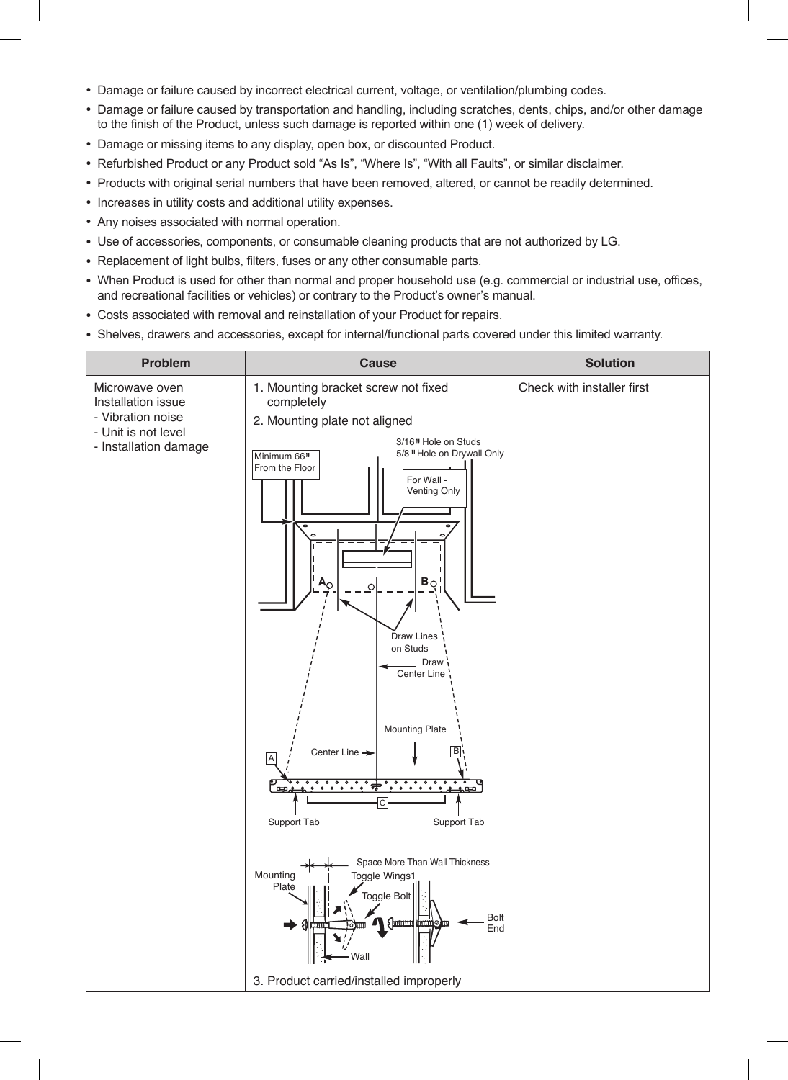- Damage or failure caused by incorrect electrical current, voltage, or ventilation/plumbing codes.
- Damage or failure caused by transportation and handling, including scratches, dents, chips, and/or other damage to the finish of the Product, unless such damage is reported within one (1) week of delivery.
- Damage or missing items to any display, open box, or discounted Product.
- Refurbished Product or any Product sold "As Is", "Where Is", "With all Faults", or similar disclaimer.
- Products with original serial numbers that have been removed, altered, or cannot be readily determined.
- Increases in utility costs and additional utility expenses.
- Any noises associated with normal operation.
- Use of accessories, components, or consumable cleaning products that are not authorized by LG.
- Replacement of light bulbs, filters, fuses or any other consumable parts.
- When Product is used for other than normal and proper household use (e.g. commercial or industrial use, offices, and recreational facilities or vehicles) or contrary to the Product's owner's manual.
- Costs associated with removal and reinstallation of your Product for repairs.
- Shelves, drawers and accessories, except for internal/functional parts covered under this limited warranty.

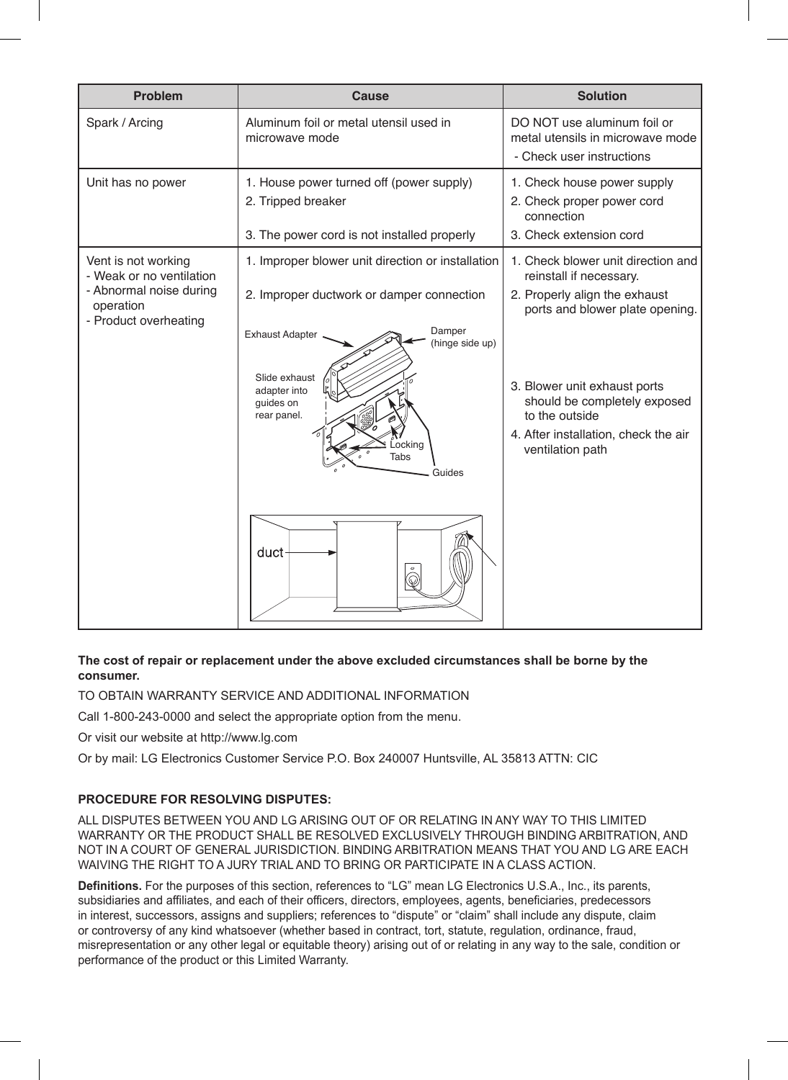| <b>Problem</b>                                                                                                   | Cause                                                                                                                                                                                                                                          | <b>Solution</b>                                                                                                                                                                                                                                                                 |
|------------------------------------------------------------------------------------------------------------------|------------------------------------------------------------------------------------------------------------------------------------------------------------------------------------------------------------------------------------------------|---------------------------------------------------------------------------------------------------------------------------------------------------------------------------------------------------------------------------------------------------------------------------------|
| Spark / Arcing                                                                                                   | Aluminum foil or metal utensil used in<br>microwave mode                                                                                                                                                                                       | DO NOT use aluminum foil or<br>metal utensils in microwave mode<br>- Check user instructions                                                                                                                                                                                    |
| Unit has no power                                                                                                | 1. House power turned off (power supply)<br>2. Tripped breaker<br>3. The power cord is not installed properly                                                                                                                                  | 1. Check house power supply<br>2. Check proper power cord<br>connection<br>3. Check extension cord                                                                                                                                                                              |
| Vent is not working<br>- Weak or no ventilation<br>- Abnormal noise during<br>operation<br>- Product overheating | 1. Improper blower unit direction or installation<br>2. Improper ductwork or damper connection<br>Damper<br><b>Exhaust Adapter</b><br>(hinge side up)<br>Slide exhaust<br>adapter into<br>guides on<br>rear panel.<br>ocking<br>Tabs<br>Guides | 1. Check blower unit direction and<br>reinstall if necessary.<br>2. Properly align the exhaust<br>ports and blower plate opening.<br>3. Blower unit exhaust ports<br>should be completely exposed<br>to the outside<br>4. After installation, check the air<br>ventilation path |
|                                                                                                                  | duct<br>$\circ$<br>$\widehat{\mathbb{Q}}$                                                                                                                                                                                                      |                                                                                                                                                                                                                                                                                 |

## **The cost of repair or replacement under the above excluded circumstances shall be borne by the consumer.**

TO OBTAIN WARRANTY SERVICE AND ADDITIONAL INFORMATION

Call 1-800-243-0000 and select the appropriate option from the menu.

Or visit our website at http://www.lg.com

Or by mail: LG Electronics Customer Service P.O. Box 240007 Huntsville, AL 35813 ATTN: CIC

## **PROCEDURE FOR RESOLVING DISPUTES:**

ALL DISPUTES BETWEEN YOU AND LG ARISING OUT OF OR RELATING IN ANY WAY TO THIS LIMITED WARRANTY OR THE PRODUCT SHALL BE RESOLVED EXCLUSIVELY THROUGH BINDING ARBITRATION, AND NOT IN A COURT OF GENERAL JURISDICTION. BINDING ARBITRATION MEANS THAT YOU AND LG ARE EACH WAIVING THE RIGHT TO A JURY TRIAL AND TO BRING OR PARTICIPATE IN A CLASS ACTION.

**Definitions.** For the purposes of this section, references to "LG" mean LG Electronics U.S.A., Inc., its parents, subsidiaries and affiliates, and each of their officers, directors, employees, agents, beneficiaries, predecessors in interest, successors, assigns and suppliers; references to "dispute" or "claim" shall include any dispute, claim or controversy of any kind whatsoever (whether based in contract, tort, statute, regulation, ordinance, fraud, misrepresentation or any other legal or equitable theory) arising out of or relating in any way to the sale, condition or performance of the product or this Limited Warranty.